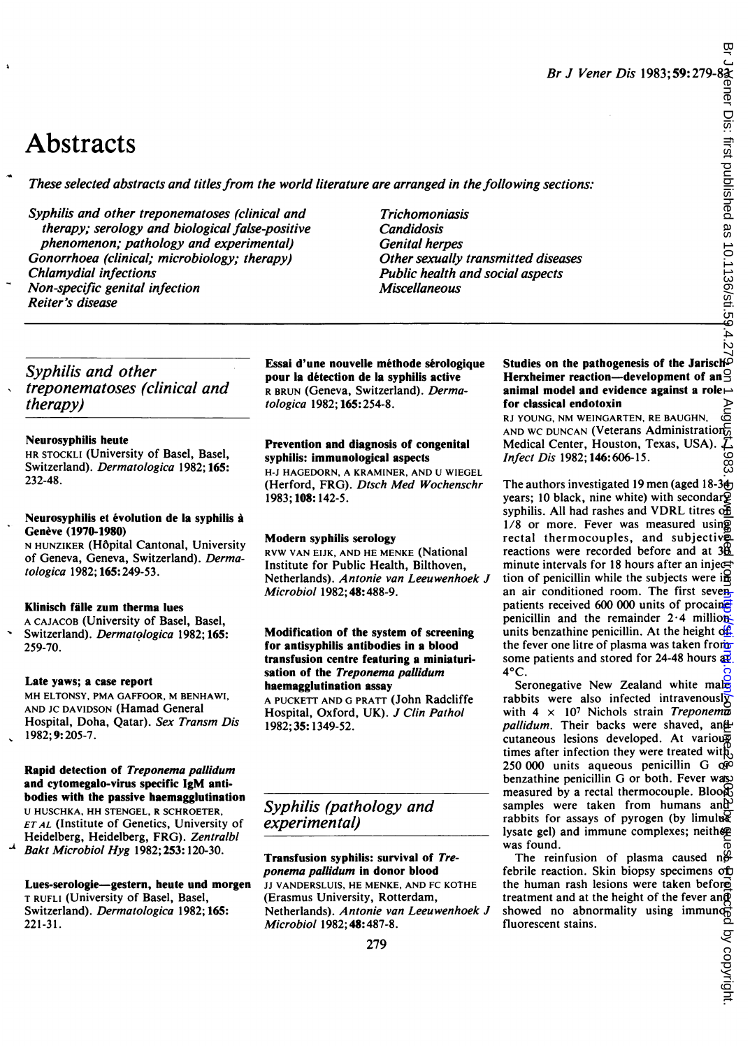# **Abstracts**

These selected abstracts and titles from the world literature are arranged in the following sections:

Syphilis and other treponematoses (clinical and therapy; serology and biological false-positive phenomenon; pathology and experimental) Gonorrhoea (clinical; microbiology; therapy) Chlamydial infections Non-specific genital infection Reiter's disease

Trichomoniasis **Candidosis** Genital herpes Other sexually transmitted diseases Public health and social aspects Miscellaneous

Syphilis and other treponematoses (clinical and therapy)

#### Neurosyphilis heute

HR STOCKLI (University of Basel, Basel, Switzerland). Dermatologica 1982; 165: 232-48.

#### Neurosyphilis et évolution de la syphilis à Genève (1970-1980)

N HUNZIKER (H6pital Cantonal, University of Geneva, Geneva, Switzerland). Dermatologica 1982; 165:249-53.

#### Klinisch falle zum therma lues

A CAJACOB (University of Basel, Basel, Switzerland). Dermatologica 1982; 165: 259-70.

#### Late yaws; a case report

MH ELTONSY, PMA GAFFOOR, M BENHAWI, AND JC DAVIDSON (Hamad General Hospital, Doha, Qatar). Sex Transm Dis 1982; 9: 205-7.

Rapid detection of Treponema pallidum and cytomegalo-virus specific IgM antibodies with the passive haemagglutination U HUSCHKA, HH STENGEL, R SCHROETER, ET AL (Institute of Genetics, University of Heidelberg, Heidelberg, FRG). Zentralbl Bakt Microbiol Hyg 1982; 253:120-30.

Lues-serologie-gestern, heute und morgen T RUFLI (University of Basel, Basel, Switzerland). Dermatologica 1982; 165: 221-31.

Essai d'une nouvelle méthode sérologique pour la detection de la syphilis active R BRUN (Geneva, Switzerland). Dermatologica 1982; 165:254-8.

#### Prevention and diagnosis of congenital syphilis: immunological aspects

H-J HAGEDORN, A KRAMINER, AND U WIEGEL (Herford, FRG). Dtsch Med Wochenschr 1983; 108:142-5.

#### Modern syphilis serology

RVW VAN EIJK, AND HE MENKE (National Institute for Public Health, Bilthoven, Netherlands). Antonie van Leeuwenhoek J Microbiol 1982; 48:488-9.

#### Modification of the system of screening for antisyphilis antibodies in a blood transfusion centre featuring a miniaturisation of the Treponema pallidum haemagglutination assay

A PUCKETT AND G PRATT (John Radcliffe Hospital, Oxford, UK). J Clin Pathol 1982;35: 1349-52.

#### Syphilis (pathology and experimental)

Transfusion syphilis: survival of Treponema pallidum in donor blood JJ VANDERSLUIS, HE MENKE, AND FC KOTHE (Erasmus University, Rotterdam, Netherlands). Antonie van Leeuwenhoek J Microbiol 1982; 48: 487-8.

#### Studies on the pathogenesis of the Jarisch-Herxheimer reaction-development of an animal model and evidence against a role $\rightarrow$ for classical endotoxin

RJ YOUNG, NM WEINGARTEN, RE BAUGHN, AND WC DUNCAN (Veterans Administration<sub>o</sub> Medical Center, Houston, Texas, USA).  $\overline{J}$ , Infect Dis 1982; 146:606-15.

The authors investigated 19 men (aged 18-3<sup>4</sup>) years; 10 black, nine white) with secondar $\tilde{Q}$ syphilis. All had rashes and VDRL titres of  $1/8$  or more. Fever was measured using rectal thermocouples, and subjective reactions were recorded before and at  $3\underline{6}$ minute intervals for 18 hours after an injection of penicillin while the subjects were in an air conditioned room. The first sevenpatients received 600 000 units of procainet penicillin and the remainder  $2.4$  million: units benzathine penicillin. At the height of the fever one litre of plasma was taken from some patients and stored for 24-48 hours  $\frac{1}{2}$  $4^{\circ}$ C. Br J Vener Dis 1983; 59: 279-83;<br>
Brunt Diving sections:<br>  $\frac{1}{2}$ <br>
intitled diseases<br>
intitled diseases<br>
intitled as exacts<br>
intitled as exacts<br>
intitled as exacts<br>  $\frac{1}{2}$ <br> **Herix-hiren interview cooperation** and the

Seronegative New Zealand white male rabbits were also infected intravenously with  $4 \times 10^7$  Nichols strain Treponema pallidum. Their backs were shaved, and cutaneous lesions developed. At various times after infection they were treated with  $250000$  units aqueous penicillin G  $\dot{\alpha}$ benzathine penicillin G or both. Fever was measured by a rectal thermocouple. Blood samples were taken from humans and rabbits for assays of pyrogen (by limulus lysate gel) and immune complexes; neither was found.

The reinfusion of plasma caused  $n\frac{G}{G}$ febrile reaction. Skin biopsy specimens of the human rash lesions were taken before treatment and at the height of the fever and treatment and at the height of the fever and showed no abnormality using immuno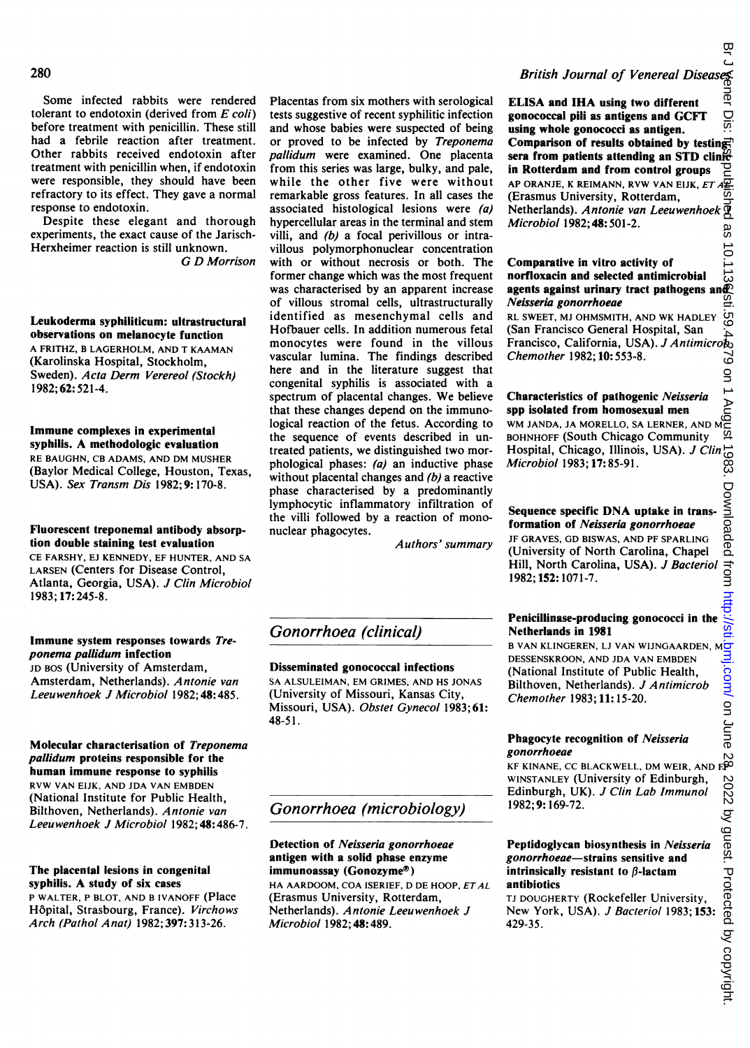Some infected rabbits were rendered tolerant to endotoxin (derived from  $E$  coli) before treatment with penicillin. These still had a febrile reaction after treatment. Other rabbits received endotoxin after treatment with penicillin when, if endotoxin were responsible, they should have been refractory to its effect. They gave a normal response to endotoxin.

Despite these elegant and thorough experiments, the exact cause of the Jarisch-Herxheimer reaction is still unknown.

G D Morrison

#### Leukoderma syphiliticum: ultrastructural observations on melanocyte function A FRITHZ, B LAGERHOLM, AND T KAAMAN

(Karolinska Hospital, Stockholm, Sweden). Acta Derm Verereol (Stockh) 1982; 62: 521-4.

#### Immune complexes in experimental syphilis. A methodologic evaluation

RE BAUGHN, CB ADAMS, AND DM MUSHER (Baylor Medical College, Houston, Texas, USA). Sex Transm Dis 1982; 9: 170-8.

#### Fluorescent treponemal antibody absorption double staining test evaluation

CE FARSHY, EJ KENNEDY, EF HUNTER, AND SA LARSEN (Centers for Disease Control, Atlanta, Georgia, USA). J Clin Microbiol 1983; 17:245-8.

#### Immune system responses towards Treponema pallidum infection

JD BOS (University of Amsterdam, Amsterdam, Netherlands). Antonie van Leeuwenhoek J Microbiol 1982; 48:485.

#### Molecular characterisation of Treponema pallidum proteins responsible for the human immune response to syphilis RVW VAN EIJK, AND JDA VAN EMBDEN (National Institute for Public Health, Bilthoven, Netherlands). Antonie van Leeuwenhoek J Microbiol 1982; 48:486-7.

#### The placental lesions in congenital syphilis. A study of six cases

P WALTER, P BLOT, AND B IVANOFF (Place H6pital, Strasbourg, France). Virchows Arch (Pathol Anat) 1982; 397:313-26.

Placentas from six mothers with serological tests suggestive of recent syphilitic infection and whose babies were suspected of being or proved to be infected by Treponema pallidum were examined. One placenta from this series was large, bulky, and pale, while the other five were without remarkable gross features. In all cases the associated histological lesions were (a) hypercellular areas in the terminal and stem villi, and (b) a focal perivillous or intravillous polymorphonuclear concentration with or without necrosis or both. The former change which was the most frequent was characterised by an apparent increase of villous stromal cells, ultrastructurally identified as mesenchymal cells and Hofbauer cells. In addition numerous fetal monocytes were found in the villous vascular lumina. The findings described here and in the literature suggest that congenital syphilis is associated with a spectrum of placental changes. We believe that these changes depend on the immunological reaction of the fetus. According to the sequence of events described in untreated patients, we distinguished two morphological phases:  $(a)$  an inductive phase without placental changes and (b) a reactive phase characterised by a predominantly lymphocytic inflammatory infiltration of the villi followed by a reaction of mononuclear phagocytes.

Authors' summary

#### Gonorrhoea (clinical)

#### Disseminated gonococcal infections

SA ALSULEIMAN, EM GRIMES, AND HS JONAS (University of Missouri, Kansas City, Missouri, USA). Obstet Gynecol 1983;61: 48-51.

#### Gonorrhoea (microbiology)

#### Detection of Neisseria gonorrhoeae antigen with a solid phase enzyme immunoassay (Gonozyme®)

HA AARDOOM, COA ISERIEF, D DE HOOP, ETAL (Erasmus University, Rotterdam, Netherlands). Antonie Leeuwenhoek J Microbiol 1982; 48:489.

### British Journal of Venereal Diseases

፸ ELISA and IHA using two different Dis: gonococcal pili as antigens and GCFT using whole gonococci as antigen. Comparison of results obtained by testing. sera from patients attending an STD clinic-<br>in Rotterdam and from control groups in Rotterdam and from control groups AP ORANJE, K REIMANN, RVW VAN EIJK, ET  $A\overline{2}$ (Erasmus University, Rotterdam, Netherlands). Antonie van Leeuwenhoek  $\overline{\mathfrak{B}}$ Microbiol 1982; 48:501-2. 8S

#### $10.113$ Comparative in vitro activity of norfloxacin and selected antimicrobial agents against urinary tract pathogens and Neisseria gonorrhoeae

RL SWEET, MJ OHMSMITH, AND WK HADLEY<br>(San Francisco General Hospital, San (San Francisco General Hospital, San Francisco, California, USA). J Antimicrog Chemother 1982; 10:553-8.

#### Characteristics of pathogenic Neisseria spp isolated from homosexual men

Unaracteristics of pathogenic *Netsserta*<br>Spp isolated from homosexual men<br>WM JANDA, JA MORELLO, SA LERNER, AND MC<br>BOHNHOFF (South Chicago Community BOHNHOFF (South Chicago Community Hospital, Chicago, Illinois, USA). *J Clin* $\overline{\text{O}}$ <br>*Microbiol* 1983; 17:85-91. Microbiol 1983; 17:85-91.

#### Sequence specific DNA uptake in transformation of Neisseria gonorrhoeae

JF GRAVES, GD BISWAS, AND PF SPARLING (University of North Carolina, Chapel Hill, North Carolina, USA). J Bacteriol 1982; 152: 1071-7.

## Penicillinase-producing gonococci in the

Netherlands in 1981 <sup>B</sup> VAN KLINGEREN, LJ VAN WIJNGAARDEN, M DESSENSKROON, AND JDA VAN EMBDEN (National Institute of Public Health, Bilthoven, Netherlands). J Antimicrob Chemother 1983; 11: 15-20.

#### Phagocyte recognition of Neisseria gonorrhoeae

س *ponorrnoeae*<br>KF KINANE, CC BLACKWELL, DM WEIR, AND F<sup>90</sup> WINSTANLEY (University of Edinburgh, Edinburgh, UK). J Clin Lab Immunol 1982; 9: 169-72.

#### Peptidoglycan biosynthesis in Neisseria gonorrhoeae-strains sensitive and intrinsically resistant to  $\beta$ -lactam antibiotics

TJ DOUGHERTY (Rockefeller University, New York, USA). J Bacteriol 1983; 153 429-35.

# on June 19, and Distributed as 10.1136/sti.59.4479 on 1 August 1983. Downloaded from, com/ Br J June 28, 2022. Dy guest. Protected by copyright. .<br>GÖ Downloaded from http://st com/on June 2022 by guest. Protected by copyright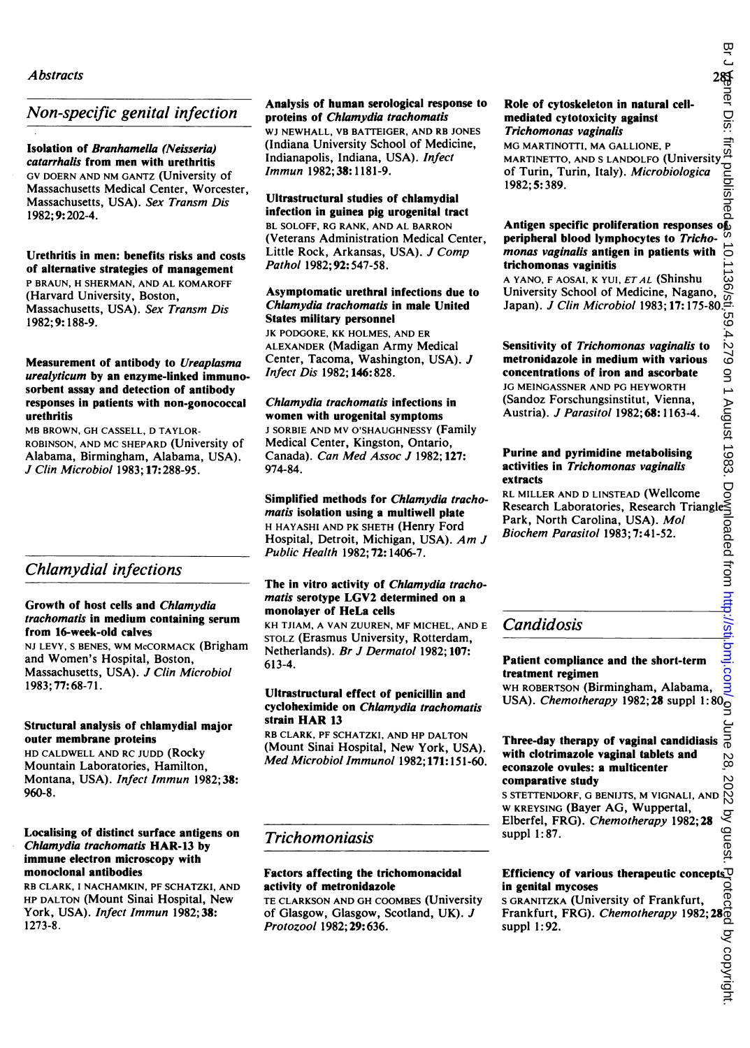#### Non-specific genital infection

Isolation of Branhamella (Neisseria) catarrhalis from men with urethritis GV DOERN AND NM GANTZ (University of Massachusetts Medical Center, Worcester, Massachusetts, USA). Sex Transm Dis 1982; 9:202-4.

#### Urethritis in men: benefits risks and costs of alternative strategies of management P BRAUN, H SHERMAN, AND AL KOMAROFF (Harvard University, Boston,

Massachusetts, USA). Sex Transm Dis 1982; 9: 188-9.

#### Measurement of antibody to Ureaplasma urealyticum by an enzyme-linked immunosorbent assay and detection of antibody responses in patients with non-gonococcal urethritis

MB BROWN, GH CASSELL, D TAYLOR-ROBINSON, AND MC SHEPARD (University of Alabama, Birmingham, Alabama, USA). J Clin Microbiol 1983; 17:288-95.

#### Chlamydial infections

#### Growth of host cells and Chiamydia trachomatis in medium containing serum from 16-week-old calves

NJ LEVY, <sup>S</sup> BENES, WM McCORMACK (Brigham and Women's Hospital, Boston, Massachusetts, USA). J Clin Microbiol 1983; 77:68-71.

#### Structural analysis of chlamydial major outer membrane proteins

HD CALDWELL AND RC JUDD (Rocky Mountain Laboratories, Hamilton, Montana, USA). Infect Immun 1982;38: 960-8.

#### Localising of distinct surface antigens on Chlamydia trachomatis HAR-13 by immune electron microscopy with monoclonal antibodies

RB CLARK, <sup>I</sup> NACHAMKIN, PF SCHATZKI, AND HP DALTON (Mount Sinai Hospital, New York, USA). Infect Immun 1982; 38: 1273-8.

#### Analysis of human serological response to proteins of Chlamydia trachomatis

WJ NEWHALL, VB BATTEIGER, AND RB JONES (Indiana University School of Medicine, Indianapolis, Indiana, USA). Infect Immun 1982; 38:1181-9.

#### Ultrastructural studies of chiamydial

infection in guinea pig urogenital tract BL SOLOFF, RG RANK, AND AL BARRON (Veterans Administration Medical Center, Little Rock, Arkansas, USA). J Comp Pathol 1982; 92: 547-58.

#### Asymptomatic urethral infections due to Chlamydia trachomatis in male United States military personnel

JK PODGORE, KK HOLMES, AND ER ALEXANDER (Madigan Army Medical Center, Tacoma, Washington, USA). J Infect Dis 1982; 146:828.

#### Chlamydia trachomatis infections in women with urogenital symptoms

<sup>J</sup> SORBIE AND MV O'SHAUGHNESSY (Family Medical Center, Kingston, Ontario, Canada). Can Med Assoc J 1982; 127: 974-84.

Simplified methods for Chiamydia trachomatis isolation using a multiwell plate H HAYASHI AND PK SHETH (Henry Ford Hospital, Detroit, Michigan, USA). Am <sup>J</sup> Public Health 1982; 72: 1406-7.

#### The in vitro activity of Chlamydia trachomatis serotype LGV2 determined on a monolayer of HeLa cells

KH TJIAM, A VAN ZUUREN, MF MICHEL, AND E STOLZ (Erasmus University, Rotterdam, Netherlands). Br J Dermatol 1982; 107: 613-4.

#### Ultrastructural effect of penicillin and cycloheximide on Chiamydia trachomatis strain HAR <sup>13</sup>

RB CLARK, PF SCHATZKI, AND HP DALTON (Mount Sinai Hospital, New York, USA). Med Microbiol Immunol 1982;171: 151-60.

#### Trichomoniasis

#### Factors affecting the trichomonacidal activity of metronidazole

TE CLARKSON AND GH COOMBES (University of Glasgow, Glasgow, Scotland, UK). J Protozool 1982; 29:636.

#### Role of cytoskeleton in natural cellmediated cytotoxicity against Trichomonas vaginalis

MG MARTINOTTI, MA GALLIONE, P MARTINETTO, AND S LANDOLFO (Universit of Turin, Turin, Italy). Microbiologica 1982; 5:389.

#### Antigen specific proliferation responses of peripheral blood lymphocytes to Trichomonas vaginalis antigen in patients with trichomonas vaginitis

A YANO, F AOSAI, K YUI, ETAL (Shinshu University School of Medicine, Nagano, Japan). J Clin Microbiol 1983; 17:175-80.

# Sensitivity of Trichomonas vaginalis to metronidazole in medium with various concentrations of iron and ascorbate JG MEINGASSNER AND PG HEYWORTH (Sandoz Forschungsinstitut, Vienna, Austria). J Parasitol 1982;68:1163-4. Sensitivity of *Trichomonas vaginalis* to<br>
netronidazole in medium with various<br>
concentrations of iron and ascorbate<br>  $1G$  Michly AssNer AND PG HEYWORTH<br>
(Sandoz Forschungsnistitut, Vienna,<br>
Austria). *J Parasitol* 1982;

#### Purine and pyrimidine metabolising activities in Trichomonas vaginalis extracts

RL MILLER AND D LINSTEAD (Wellcome Park, North Carolina, USA). Mol Biochem Parasitol 1983;7:41-52.

#### **Candidosis**

#### Patient compliance and the short-term treatment regimen

WH ROBERTSON (Birmingham, Alabama, WH ROBERTSON (DIFFILMORE 28 suppl  $1:80^\circ$  USA). *Chemotherapy* 1982; 28 suppl  $1:80^\circ$ 

#### Three-day therapy of vaginal candidiasis with clotrimazole vaginal tablets and econazole ovules: a multicenter

comparative study <sup>S</sup> STETrENDORF, G BENIJTS, M VIGNALI, AND W KREYSING (Bayer AG, Wuppertal, Elberfel, FRG). Chemotherapy 1982; 28 suppl 1:87.

#### Efficiency of various therapeutic concepts in genital mycoses

<sup>S</sup> GRANITZKA (University of Frankfurt, Frankfurt, FRG). Chemotherapy 1982;28 suppl 1:92.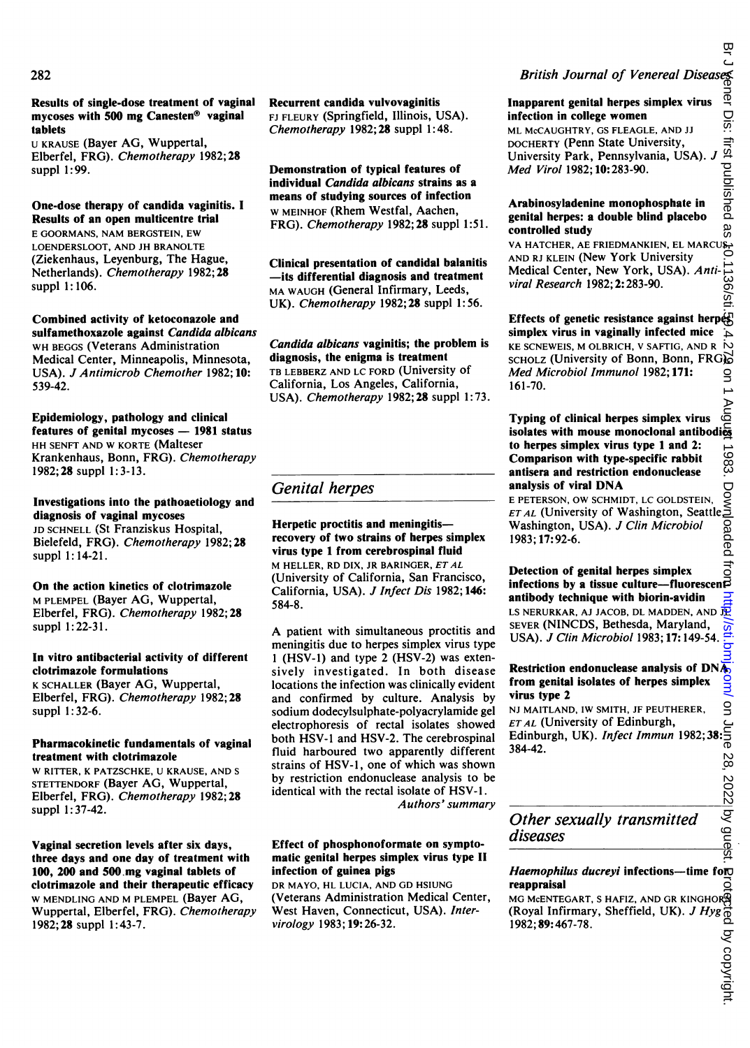Results of single-dose treatment of vaginal mycoses with 500 mg Canesten® vaginal tablets

U KRAUSE (Bayer AG, Wuppertal, Elberfel, FRG). Chemotherapy 1982;28 suppl 1:99.

#### One-dose therapy of candida vaginitis. <sup>I</sup> Results of an open multicentre trial

E GOORMANS, NAM BERGSTEIN, EW LOENDERSLOOT, AND JH BRANOLTE (Ziekenhaus, Leyenburg, The Hague, Netherlands). Chemotherapy 1982; 28 suppl 1:106.

#### Combined activity of ketoconazole and sulfamethoxazole against Candida albicans WH BEGGS (Veterans Administration Medical Center, Minneapolis, Minnesota, USA). J Antimicrob Chemother 1982; 10: 539-42.

Epidemiology, pathology and clinical features of genital mycoses  $- 1981$  status HH SENFT AND W KORTE (Malteser Krankenhaus, Bonn, FRG). Chemotherapy 1982; 28 suppl 1: 3-13.

#### Investigations into the pathoaetiology and diagnosis of vaginal mycoses

JD SCHNELL (St Franziskus Hospital, Bielefeld, FRG). Chemotherapy 1982; 28 suppl 1:14-21.

On the action kinetics of clotrimazole M PLEMPEL (Bayer AG, Wuppertal, Elberfel, FRG). Chemotherapy 1982; 28 suppl 1: 22-31.

#### In vitro antibacterial activity of different clotrimazole formulations

K SCHALLER (Bayer AG, Wuppertal, Elberfel, FRG). Chemotherapy 1982; 28 suppl 1: 32-6.

#### Pharmacokinetic fundamentals of vaginal treatment with clotrimazole

W RITTER, <sup>K</sup> PATZSCHKE, U KRAUSE, AND <sup>S</sup> STETTENDORF (Bayer AG, Wuppertal, Elberfel, FRG). Chemotherapy 1982;28 suppl 1: 37-42.

Vaginal secretion levels after six days, three days and one day of treatment with 100, 200 and 500.mg vaginal tablets of clotrimazole and their therapeutic efficacy W MENDLING AND M PLEMPEL (Bayer AG, Wuppertal, Elberfel, FRG). Chemotherapy 1982; 28 suppl 1:43-7.

Recurrent candida vulvovaginitis FJ FLEURY (Springfield, Illinois, USA). Chemotherapy 1982; 28 suppl 1:48.

Demonstration of typical features of individual Candida albicans strains as a means of studying sources of infection W MEINHOF (Rhem Westfal, Aachen, FRG). Chemotherapy 1982; 28 suppl 1:51.

Clinical presentation of candidal balanitis -its differential diagnosis and treatment MA WAUGH (General Infirmary, Leeds, UK). *Chemotherapy* 1982; **28** suppl 1:56.

#### Candida albicans vaginitis; the problem is diagnosis, the enigma is treatment

TB LEBBERZ AND LC FORD (University of California, Los Angeles, California, USA). Chemotherapy 1982; 28 suppl 1:73.

#### Genital herpes

#### Herpetic proctitis and meningitisrecovery of two strains of herpes simplex virus type <sup>1</sup> from cerebrospinal fluid M HELLER, RD DIX, JR BARINGER, ETAL (University of California, San Francisco,

California, USA). J Infect Dis 1982; 146: 584-8.

A patient with simultaneous proctitis and meningitis due to herpes simplex virus type <sup>1</sup> (HSV-1) and type 2 (HSV-2) was extensively investigated. In both disease locations the infection was clinically evident and confirmed by culture. Analysis by sodium dodecylsulphate-polyacrylamide gel electrophoresis of rectal isolates showed both HSV-l and HSV-2. The cerebrospinal fluid harboured two apparently different strains of HSV-1, one of which was shown by restriction endonuclease analysis to be identical with the rectal isolate of HSV-1. Authors' summary

#### Effect of phosphonoformate on symptomatic genital herpes simplex virus type II infection of guinea pigs

DR MAYO, HL LUCIA, AND GD HSIUNG (Veterans Administration Medical Center, West Haven, Connecticut, USA). Intervirology 1983; 19:26-32.

# British Journal of Venereal Diseases ber Dis: first published as Inapparent genital herpes simplex virus

infection in college women ML McCAUGHTRY, GS FLEAGLE, AND JJ DOCHERTY (Penn State University,

University Park, Pennsylvania, USA). Med Virol 1982; 10: 283-90.

#### Arabinosyladenine monophosphate in genital herpes: a double blind placebo controlled study

VA HATCHER, AE FRIEDMANKIEN, EL MARCUS, AND RJ KLEIN (New York University Ë Medical Center, New York, USA). Anti-136/sti viral Research 1982; 2:283-90.

on Juner Dis: Inst published as a 0.1136/sti.\$9.4.27.8 bug June 1983. Downloaded from publishishishishishished by copyright. Protected by copyright. Effects of genetic resistance against herp $\acute{\text{e}}_S^{\Gamma}$ simplex virus in vaginally infected mice A KE SCNEWEIS, M OLBRICH, V SAFTIG, AND R SCHOLZ (University of Bonn, Bonn, FRG).<br> *Med Microbiol Immunol* 1982; 171: Med Microbiol Immunol 1982; 171: 161-70.

#### Typing of clinical herpes simplex virus isolates with mouse monoclonal antibodies to herpes simplex virus type 1 and 2: 1983. Comparison with type-specific rabbit antisera and restriction endonuclease analysis of viral DNA

<sup>E</sup> PETERSON, OW SCHMIDT, LC GOLDSTEIN, *ET AL* (University of Washington, Seattle<sub>r</sub> Washington, USA). J Clin Microbiol 1983; 17:92-6.

#### $\vec{a}$ Detection of genital herpes simplex infections by a tissue culture-fluorescen $\vec{B}$ antibody technique with biorin-avidin

LS NERURKAR, AJ JACOB, DL MADDEN, AND  $\overline{\mathbb{R}}$ SEVER (NINCDS, Bethesda, Maryland,  $\overline{\text{est}}$ USA). J Clin Microbiol 1983; 17:149-54.

#### Restriction endonuclease analysis of  $DN\overline{A_0}$ from genital isolates of herpes simplex virus type 2

g NJ MAITLAND, IW SMITH, JF PEUTHERER,  $ETAL$  (University of Edinburgh, ET AL (University of Edinburgh,<br>Edinburgh, UK). *Infect Immun* 1982; **38:**  $\frac{2}{9}$ <br>**384-42** 384-42. 28, 2022 by guest.

#### Other sexually transmitted diseases

#### $Haemophilus ducreyi$  infections--time foro reappraisal 효

MG MCENTEGART, S HAFIZ, AND GR KINGHOR<sup>9</sup> (Royal Infirmary, Sheffield, UK). J Hyg 1982; 89:467-78.